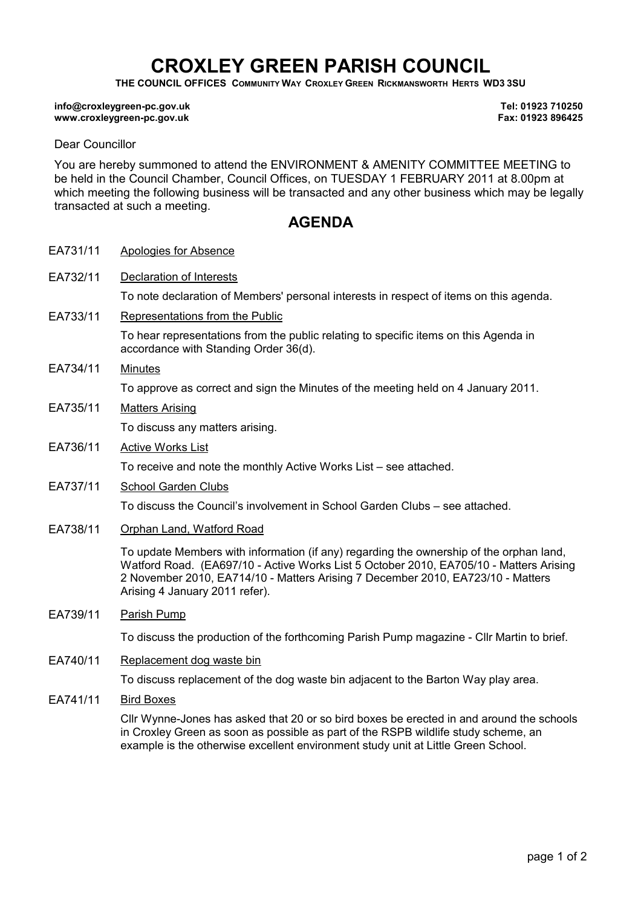## CROXLEY GREEN PARISH COUNCIL

THE COUNCIL OFFICES COMMUNITY WAY CROXLEY GREEN RICKMANSWORTH HERTS WD3 3SU

## info@croxleygreen-pc.gov.uk www.croxleygreen-pc.gov.uk

Tel: 01923 710250 Fax: 01923 896425

## Dear Councillor

You are hereby summoned to attend the ENVIRONMENT & AMENITY COMMITTEE MEETING to be held in the Council Chamber, Council Offices, on TUESDAY 1 FEBRUARY 2011 at 8.00pm at which meeting the following business will be transacted and any other business which may be legally transacted at such a meeting.

## AGENDA

EA731/11 Apologies for Absence EA732/11 Declaration of Interests To note declaration of Members' personal interests in respect of items on this agenda. EA733/11 Representations from the Public To hear representations from the public relating to specific items on this Agenda in accordance with Standing Order 36(d). EA734/11 Minutes To approve as correct and sign the Minutes of the meeting held on 4 January 2011. EA735/11 Matters Arising To discuss any matters arising. EA736/11 Active Works List To receive and note the monthly Active Works List – see attached. EA737/11 School Garden Clubs To discuss the Council's involvement in School Garden Clubs – see attached. EA738/11 Orphan Land, Watford Road To update Members with information (if any) regarding the ownership of the orphan land, Watford Road. (EA697/10 - Active Works List 5 October 2010, EA705/10 - Matters Arising 2 November 2010, EA714/10 - Matters Arising 7 December 2010, EA723/10 - Matters Arising 4 January 2011 refer). EA739/11 Parish Pump To discuss the production of the forthcoming Parish Pump magazine - Cllr Martin to brief. EA740/11 Replacement dog waste bin To discuss replacement of the dog waste bin adjacent to the Barton Way play area. EA741/11 Bird Boxes

> Cllr Wynne-Jones has asked that 20 or so bird boxes be erected in and around the schools in Croxley Green as soon as possible as part of the RSPB wildlife study scheme, an example is the otherwise excellent environment study unit at Little Green School.